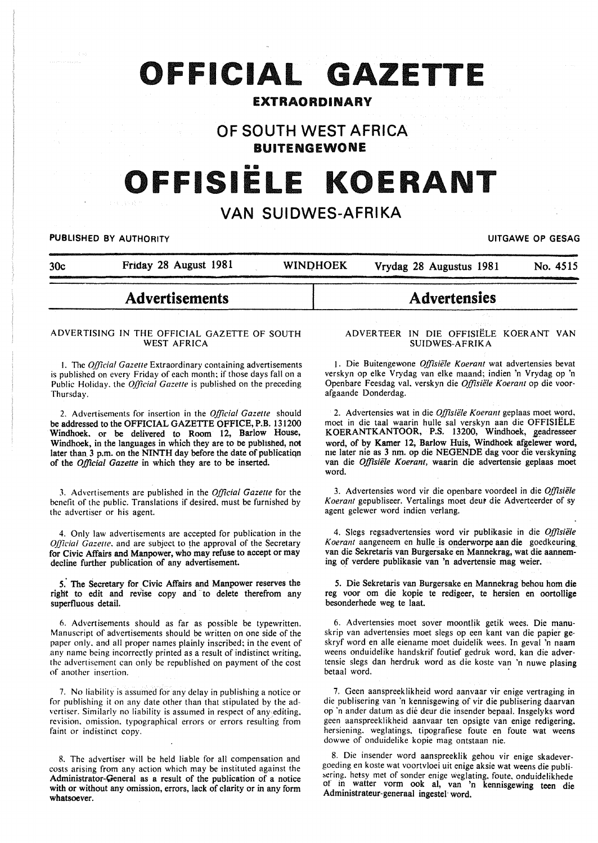# OFFICIAL **GAZETTE**

## EXTRAORDINARY

## OF SOUTH WEST AFRICA BUITENGEWONE

# OFFISIELE KOERANT

# VAN SUIDWES-AFRIKA

#### **PUBLISHED BY AUTHORITY PUBLISHED BY AUTHORITY EXECUTES**

| 30c | Friday 28 August 1981 | <b>WINDHOEK</b> | Vrydag 28 Augustus 1981 | No. 4515 |
|-----|-----------------------|-----------------|-------------------------|----------|
|-----|-----------------------|-----------------|-------------------------|----------|

# Advertisements

#### ADVERTISING IN THE OFFICIAL GAZETTE OF SOUTH WEST AFRICA

I. The *Official Gazelle* Extraordinary containing advertisements is published on every Friday of each month; if those days fall on a Public Holiday. the *Official Gazette* is published on the preceding Thursday.

2. Advertisements for insertion in the *Official Gazette* should be addressed to the OFFICIAL GAZETTE OFFICE, P.B. 131200 Windhoek. or be delivered to Room 12, Barlow House, Windhoek, in the languages in which they are to be published, not later than 3 p.m. on the NINTH day before the date of publicatiqn of the *Official Gazette* in which they are to be inserted.

J. Advertisements are published in the *Official Gazette* for the benefit of the public. Translations if desired. must be furnished by the advertiser or his agent.

4. Only law advertisements are accepted for publication in the *Official Gazelle.* and are subject to the approval of the Secretary for Civic Affairs and Manpower, who may refuse to accept or may decline further publication of any advertisement.

5. The Secretary for Civic Affairs and Manpower reserves the right to edit and revise copy and to delete therefrom any superfluous detail.

6. Advertisements should as far as possible be typewritten. Manuscript of advertisements should be written on one side of the paper only. and all proper names plainly inscribed; in the event of any name being incorrectly printed as a result of indistinct writing, the advertisement can only be republished on payment of the cost of another insertion.

7. No liability is assumed for any delay in publishing a notice or for publishing it on any date other than that stipulated by the advertiser. Similarly no liability is assumed in respect of any editing. revision. omission. typographical errors or errors resulting from faint or indistinct copy.

8. The advertiser will be held liable for all compensation and costs arising from any action which may be instituted against the Administrator-Qeneral as a result of the publication of a notice with or without any omission, errors, lack of clarity or in any form whatsoever.

#### ADVERTEER IN DIE OFFISIELE KOERANT VAN SUIDWES-AFRIKA

**Advertensies** 

1. Die Buitengewone *Offisiele Koeram* wat advertensies bevat verskyn op elke Vrydag van elke maand; indien 'n Vrydag op 'n Openbare Feesdag val, verskyn die *Offisiele Koerant* op die voorafgaande Donderdag.

2. Advertensies wat in die *Offisiële Koerant* geplaas moet word, moet in die taal waarin hulle sal verskyn aan die OFFISIELE KOERANTKANTOOR, P.S. 13200, Windhoek, geadresseer word, of by Kamer 12, Barlow Huis, Windhoek afgelewer word, me later nie as 3 nm. op die NEGENDE dag voor die verskyning van die *Offisiele Koerant,* waarin die advertensie geplaas moet word.

3. Advertensies word vir die openbare voordeel in die *Offisie/e Koerant* gepubliseer. Vertalings moet deut die Adverteerder of sy agent gelewer word indien verlang.

4. Slegs regsadvertensies word vir publikasie in die *Offisiele K oerant* aangeneem en hulle is onderworpe aan die goedkeuring\_ van die Sekretaris van Burgersake en Mannekrag, wat die aanneming of verdere publikasie van 'n advertensie mag weier.

5. Die Sekretaris van Burgersake en Mannekrag behou hom die reg voor om die kopie te redigeer, te hersien en oortollige besonderhede weg te laat.

6. Advertensies moet sover moontlik getik wees. Die manuskrip van advertensies moet slegs op een kant van die papier geskryf word en aile eiename moet duidelik wees. In geval 'n naam weens onduidelike handskrif foutief gedruk word, kan die advertensie slegs dan herdruk word as die koste van 'n nuwe plasing betaal word.

7. Geen aanspreeklikheid word aanvaar vir enige vertraging in die publisering van 'n kennisgewing of vir die publisering daarvan op 'n ander datum as die deur die insender bepaal. Insgelyks word geen aanspreeklikheid aanvaar ten opsigte van enige redigering, hersiening. weglatings, tipografiese foute en foute wat weens dowwe of onduidelike kopie mag ontstaan nie.

8. Die insender word aanspreeklik gehou vir enige skadevergoeding en koste wat voortvloei uit enige aksie wat weens die publi sering, hetsy met of sonder enige weglating, foute, onduidelikhede of in watter vorm ook al, van 'n kennisgewing teen die Administrateur-generaal ingestel· word.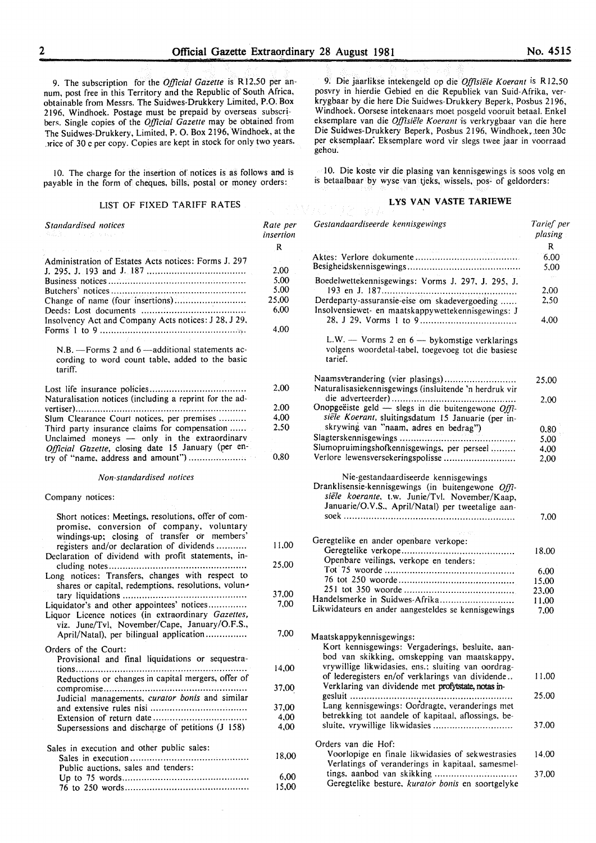9. The subscription for the *Official Gazette* is R 12,50 per annum, post free in this Territory and the Republic of South Africa, obtainable from Messrs. The Suidwes-Drukkery Limited, P.O. Box 2196, Windhoek. Postage must be prepaid by overseas subscribers. Single copies of the *Official Gazette* may be obtained from The Suidwes-Drukkery, Limited, P. 0. Box 2196, Windhoek, at the .Jrice of 30 c per copy. Copies are kept in stock for only two years.

10. The charge for the insertion of notices is as follows and is payable in the form of cheques, bills, postal or money orders:

#### LIST OF FIXED TARIFF RATES

*Standardised notices*  Administration of Estates Acts notices: Forms J. 297 J. 295. J. 193 and J. 187 ................................... . Business notices ................................................. . Butchers' notices ................................................ . Change of name (four insertions) ......................... . Deeds: Lost documents ........ : ............................ . Insolvency Act and Company Acts notices: J 28, J 29. Forms· I to 9 ..................................................•. , .  $N.B. -$  Forms 2 and 6  $-$ additional statements according to word count table, added to the basic tariff. Lost life insurance policies .................................. . Naturalisation notices (including a reprint for the advertiser) ............................................................. . Slum Clearance Court notices, per premises ......... . Third party insurance claims for compensation ..... . Unclaimed moneys - only in the extraordinary *Official Gazette, closing date 15 January (per en*try of "name. address and amount") ................... .. *Non-standardised notices*  Company notices: Short notices: Meetings, resolutions, offer of compromise. conversion of company, voluntary windings-up; closing of transfer or members' registers and/or declaration of dividends .......... . Declaration of dividend with profit statements, including notes ................................................. . Long notices: Transfers, changes with respect to shares or capital, redemptions, resolutions, voluntary liquidations ............................................ . Liquidator's and other appointees' notices.............. Liquor Licence notices (in extraordinary *Gazettes,*  viz. June/Tv!, November/Cape, January/O.F.S., April/Natal). per bilingual application .............. . Orders of the Court: Provisional and final liquidations or sequestrations ............................................................. . Reductions or changes in capital mergers, offer of compromise ................................................... . Judicial managements, *curator bonis* and similar and extensive rules nisi ................................. .. Extension of return date ................................ .. Supersessions and discharge of petitions  $(J\ 158)$ Sales in execution and other public sales: Sales in execution ......................................... .. Public auctions, sales and tenders: Up to 75 words ............................................ .. 76 to 250 words ........................................... .. *Rate per insertion*  R 2.00 5.00 5.00 25.00 6.00 4.00 2.00 2.00 4.00 2.50 0.80 I 1.00 25.00 37,00 7,00 7,00 14.00 37.00 37,00 4,00 4,00 18,00 6,00 15.00

9. Die jaarlikse intekengeld op die *Offisiële Koerant* is R12.50 posvry in hierdie Gebied en die Republiek van Suid-Afrika, verkrygbaar by die here Die Suidwes-Drukkery Beperk, Posbus 2 I 96, Windhoek. Oorsese intekenaars moet posgeld vooruit betaal. Enkel eksemplare van die *Offisiele Koerant* ·is verkrygbaar van die here Die Suidwes-Drukkery Beperk, Posbus 2196, Windhoek, teen 30c per eksemplaar: Eksemplare word vir slegs twee jaar in voorraad gehou.

10. Die koste vir die plasing van kennisgewings is soos volg en is betaalbaar by wyse van tjeks, wissels, pos- of geldorders:

#### LYS VAN VASTE TARIEWE

| Gestandaardiseerde kennisgewings                                                                                                                                                    | Tarief per<br>plasing              |
|-------------------------------------------------------------------------------------------------------------------------------------------------------------------------------------|------------------------------------|
|                                                                                                                                                                                     | R                                  |
|                                                                                                                                                                                     | 6,00<br>5,00                       |
| Boedelwettekennisgewings: Vorms J. 297, J. 295, J.                                                                                                                                  | $\mathcal{O}(\mathcal{O})$<br>2,00 |
| Derdeparty-assuransie-eise om skadevergoeding<br>Insolvensiewet- en maatskappywettekennisgewings: J                                                                                 | 2.50                               |
|                                                                                                                                                                                     | 4.00                               |
| L.W. $-$ Vorms 2 en $6 -$ bykomstige verklarings<br>volgens woordetal-tabel, toegevoeg tot die basiese<br>tarief.                                                                   |                                    |
| Naamsverandering (vier plasings)<br>Naturalisasiekennisgewings (insluitende 'n herdruk vir                                                                                          | 25,00                              |
| Onopgeëiste geld - slegs in die buitengewone Offi-<br>siële Koerant, sluitingsdatum 15 Januarie (per in-                                                                            | 2.00                               |
| skrywing van "naam, adres en bedrag")                                                                                                                                               | 0.80                               |
|                                                                                                                                                                                     | 5,00                               |
| Slumopruimingshofkennisgewings, per perseel                                                                                                                                         | 4.00                               |
| Verlore lewensversekeringspolisse                                                                                                                                                   | 2,00                               |
| siële koerante, t.w. Junie/Tvl. November/Kaap,<br>Januarie/O.V.S., April/Natal) per tweetalige aan-                                                                                 | 7.00                               |
| Geregtelike en ander openbare verkope:                                                                                                                                              |                                    |
|                                                                                                                                                                                     |                                    |
| Openbare veilings, verkope en tenders:                                                                                                                                              | 18.00                              |
|                                                                                                                                                                                     | 6,00                               |
|                                                                                                                                                                                     | 15,00                              |
|                                                                                                                                                                                     | 23,00                              |
| Handelsmerke in Suidwes-Afrika                                                                                                                                                      | 11,00                              |
| Likwidateurs en ander aangesteldes se kennisgewings                                                                                                                                 | 7,00                               |
| Maatskappykennisgewings:<br>Kort kennisgewings: Vergaderings, besluite, aan-<br>bod van skikking, omskepping van maatskappy,<br>vrywillige likwidasies, ens.; sluiting van oordrag- |                                    |
| of lederegisters en/of verklarings van dividende<br>Verklaring van dividende met profytstate, notas in-                                                                             | 11.00                              |
| $\text{result}$<br>.<br>Lang kennisgewings: Oordragte, veranderings met<br>betrekking tot aandele of kapitaal, aflossings, be-                                                      | 25.00                              |
| sluite, vrywillige likwidasies                                                                                                                                                      | 37.00                              |
| Orders van die Hof:<br>Voorlopige en finale likwidasies of sekwestrasies                                                                                                            | 14.00                              |
| Verlatings of veranderings in kapitaal, samesmel-<br>tings, aanbod van skikking<br>Geregtelike besture, kurator bonis en soortgelyke                                                | 37.00                              |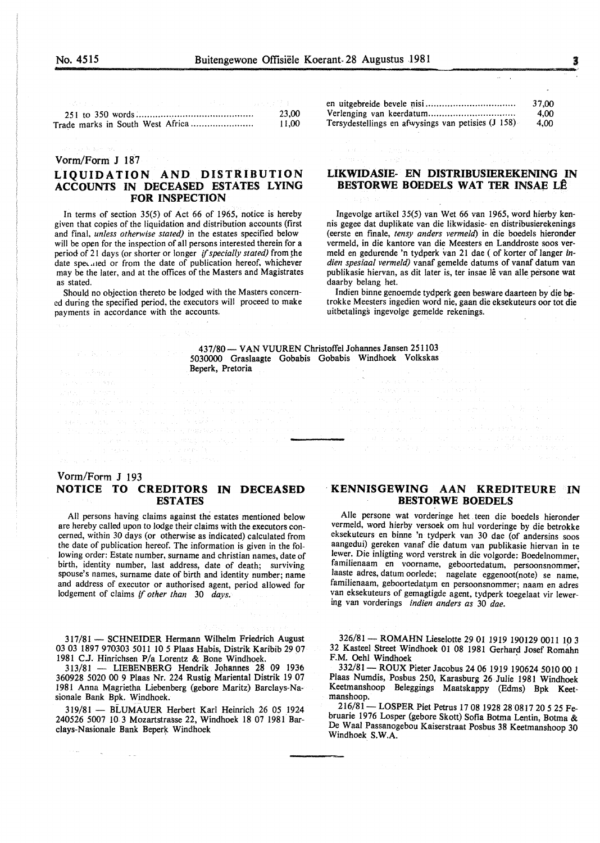| 아이는 어머니는 아이가 아니라 아이들이 아니라 아니다. |  | いちかん インファー しょうかち おとう まい |
|--------------------------------|--|-------------------------|
|                                |  | 23.00                   |
|                                |  | 11.00                   |

#### Vorm/Form J 187

## LIQUIDATION AND DISTRIBUTION ACCOUNTS IN DECEASED ESTATES LYING FOR INSPECTION

In terms of section 35(5) of Act 66 of 1965, notice is hereby given that copies of the liquidation and distribution accounts (first and final, *unless otherwise stated)* in the estates specified below will be open for the inspection of all persons interested therein for a period of 21 days (or shorter or longer if specially stated) from the date specated or from the date of publication hereof, whichever may be the later, and at the offices of the Masters and Magistrates as stated.

Should no objection thereto be lodged with the Masters concerned during the specified period, the executors will proceed to make payments in accordance with the accounts.

en uitgebreide bevele 11isi ................................ . Verlenging van keerdatum ............................... . Tersydestellings en afwysings van petisies (J 158) 37,00 4,00 4,00

### LIKWIDASIE- EN DISTRIBUSIEREKENING IN BESTORWE BOEDELS WAT TER INSAE LÊ

Ingevolge artikel 35(5) van Wet 66 van 1965, word hierby kennis gegee dat duplikate van die likwidasie- en distribusierekenings ( eerste en finale, *tensy anders vermeld)* in die boedels hieronder vermeld, in die kantore van die Meesters en Landdroste soos vermeld en gedurende 'n tydperk van 21 dae (of korter of Ianger *indien spesiaal vermeld)* vanaf gemelde datums of vanaf datum van publikasie hiervan, as dit later is, ter insae lê van alle persone wat daarby belang het.

Indien binne genoemde tydperk geen besware daarteen by die betrokke Meesters ingedien word nie, gaan die eksekuteurs oor tot die uitbetalings ingevolge gemelde rekenings.

437/80 - VAN VUUREN Christoffel Johannes Jansen 251103 5030000 Graslaagte Gobabis Gobabis Windhoek Volkskas Beperk, Pretoria

#### Vorm/Form J 193 NOTICE TO CREDITORS IN DECEASED ESTATES

All persons having claims against the estates mentioned below are hereby called upon to lodge their claims with the executors concerned, within 30 days (or otherwise as indicated) calculated from the date of publication hereof. The information is given in the following order: Estate number, surname and christian names, date of birth, identity number, last address, date of death; surviving spouse's names, surname date of birth and identity number; name and address of executor or authorised agent, period allowed for lodgement of claims if *other than* 30 *days.* 

317/81 - SCHNEIDER Hermann Wilhelm Friedrich August 03 03 1897 970303 5011 10 *5* Plaas Habis, Distrik Karibib 29 07 1981 C.J. Hinrichsen P/a Lorentz & Bone Windhoek.

313/81 - LIEBENBERG Hendrik. Johannes 28 09 1936 360928 5020 00 9 Plaas Nr. 224 Rustig Mariental Distrik 19 07 1981 Anna Magrietha Liebenberg (gebore Maritz) Barclays-Nasionale Bank Bpk. Windhoek.

319/81 - BLUMAUER Herbert Karl Heinrich 26 05 1924 240526 5007 10 3 Mozartstrasse 22, Windhoek 18 07 1981 Barclays-Nasionale Bank Beperk Windhoek

 $\sim$   $\sim$   $\sim$ 

#### KENNISGEWING AAN KREDITEURE IN BESTORWE BOEDELS

Aile persone wat vorderinge bet . teen die boedels hieronder vermeld, word hierby versoek om hul vorderinge by die betrokke eksekuteurs en binne 'n tydperk van 30 dae (of andersins soos aangedui) gereken vanaf die datum van publikasie hiervan in te lewer. Die inligting word verstrek in die volgorde: Boedelnommer, familienaam en voorname, geboortedatum, persoonsnommer; laaste adres, datum oorlede; nagelate eggenoot(note) se name, familienaam, geboortedatum en persoonsnommer; naam en adres van eksekuteurs of gemagtigde agent, tydperk toegelaat vir lewering van vorderings *indien anders as* 30 *dae.* 

326/81- ROMAHN Lieselotte 29 01 1919 190129 0011 10 3 32 Kasteel Street Windhoek 01 08 1981 Gerhard Josef Romahn F.M. Oehl Windhoek

332/81- ROUX Pieter Jacobus 24 06 1919 190624 5010 00 1 Plaas Numdis, Posbus 250, Karasburg 26 Julie 1981 Windhoek Keetrnanshoop Beleggings Maatskappy (Edms) Bpk Keetmanshoop.

216/81- LOSPER Piet Petrus 17 08 1928 28 0817 20 5 25 Februarie 1976 Losper (gebore Skott) Sofia Botma Lentin, Botrna & De Waal Passanogebou Kaiserstraat Posbus 38 Keetrnanshoop 30 Windhoek S.W.A.